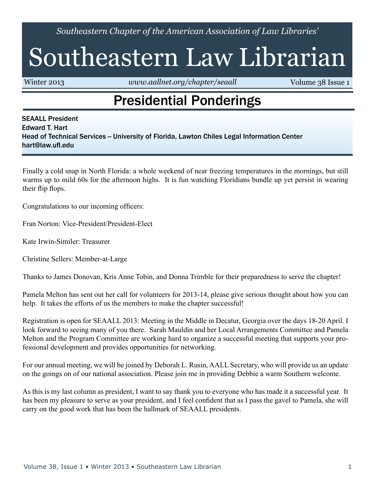*Southeastern Chapter of the American Association of Law Libraries'*

# Southeastern Law Librarian

Winter 2013 *<www.aallnet.org/chapter/seaall>* **Volume 38 Issue 1** 

#### Presidential Ponderings

SEAALL President Edward T. Hart Head of Technical Services -- University of Florida, Lawton Chiles Legal Information Center hart@law.ufl.edu

Finally a cold snap in North Florida: a whole weekend of near freezing temperatures in the mornings, but still warms up to mild 60s for the afternoon highs. It is fun watching Floridians bundle up yet persist in wearing their flip flops.

Congratulations to our incoming officers:

Fran Norton: Vice-President/President-Elect

Kate Irwin-Similer: Treasurer

Christine Sellers: Member-at-Large

Thanks to James Donovan, Kris Anne Tobin, and Donna Trimble for their preparedness to serve the chapter!

Pamela Melton has sent out her call for volunteers for 2013-14, please give serious thought about how you can help. It takes the efforts of us the members to make the chapter successful!

Registration is open for SEAALL 2013: Meeting in the Middle in Decatur, Georgia over the days 18-20 April. I look forward to seeing many of you there. Sarah Mauldin and her Local Arrangements Committee and Pamela Melton and the Program Committee are working hard to organize a successful meeting that supports your professional development and provides opportunities for networking.

For our annual meeting, we will be joined by Deborah L. Rusin, AALL Secretary, who will provide us an update on the goings on of our national association. Please join me in providing Debbie a warm Southern welcome.

As this is my last column as president, I want to say thank you to everyone who has made it a successful year. It has been my pleasure to serve as your president, and I feel confident that as I pass the gavel to Pamela, she will carry on the good work that has been the hallmark of SEAALL presidents.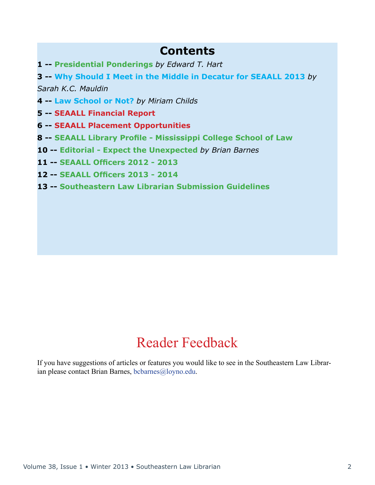#### **Contents**

**1 -- Presidential Ponderings** *by Edward T. Hart*

**3 -- Why Should I Meet in the Middle in Decatur for SEAALL 2013** *by* 

*Sarah K.C. Mauldin*

- **4 -- Law School or Not?** *by Miriam Childs*
- **5 -- SEAALL Financial Report**
- **6 -- SEAALL Placement Opportunities**
- **8 -- SEAALL Library Profile Mississippi College School of Law**
- **10 -- Editorial Expect the Unexpected** *by Brian Barnes*
- **11 -- SEAALL Officers 2012 2013**
- **12 -- SEAALL Officers 2013 2014**
- **13 -- Southeastern Law Librarian Submission Guidelines**

#### Reader Feedback

If you have suggestions of articles or features you would like to see in the Southeastern Law Librarian please contact Brian Barnes, [bcbarnes@loyno.edu](mailto:bcbarnes%40loyno.edu?subject=).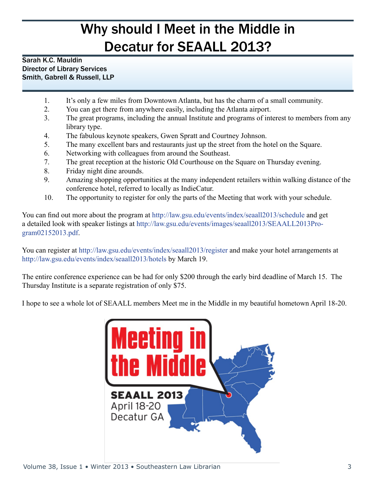### Why should I Meet in the Middle in Decatur for SEAALL 2013?

#### Sarah K.C. Mauldin Director of Library Services Smith, Gabrell & Russell, LLP

- 1. It's only a few miles from Downtown Atlanta, but has the charm of a small community.
- 2. You can get there from anywhere easily, including the Atlanta airport.
- 3. The great programs, including the annual Institute and programs of interest to members from any library type.
- 4. The fabulous keynote speakers, Gwen Spratt and Courtney Johnson.
- 5. The many excellent bars and restaurants just up the street from the hotel on the Square.
- 6. Networking with colleagues from around the Southeast.
- 7. The great reception at the historic Old Courthouse on the Square on Thursday evening.
- 8. Friday night dine arounds.
- 9. Amazing shopping opportunities at the many independent retailers within walking distance of the conference hotel, referred to locally as IndieCatur.
- 10. The opportunity to register for only the parts of the Meeting that work with your schedule.

You can find out more about the program at <http://law.gsu.edu/events/index/seaall2013/schedule>and get a detailed look with speaker listings at [http://law.gsu.edu/events/images/seaall2013/SEAALL2013Pro](http://law.gsu.edu/events/images/seaall2013/SEAALL2013Program02152013.pdf)[gram02152013.pdf.](http://law.gsu.edu/events/images/seaall2013/SEAALL2013Program02152013.pdf)

You can register at <http://law.gsu.edu/events/index/seaall2013/register>and make your hotel arrangements at <http://law.gsu.edu/events/index/seaall2013/hotels>by March 19.

The entire conference experience can be had for only \$200 through the early bird deadline of March 15. The Thursday Institute is a separate registration of only \$75.

I hope to see a whole lot of SEAALL members Meet me in the Middle in my beautiful hometown April 18-20.

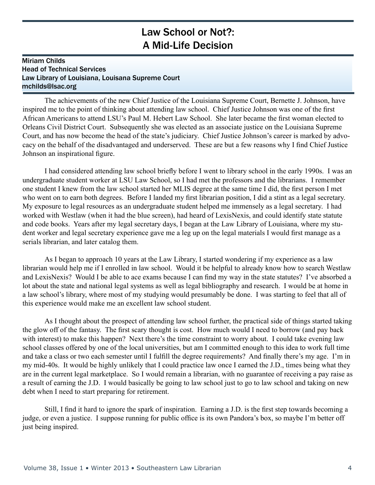#### Law School or Not?: A Mid-Life Decision

#### Miriam Childs Head of Technical Services Law Library of Louisiana, Louisana Supreme Court mchilds@lsac.org

The achievements of the new Chief Justice of the Louisiana Supreme Court, Bernette J. Johnson, have inspired me to the point of thinking about attending law school. Chief Justice Johnson was one of the first African Americans to attend LSU's Paul M. Hebert Law School. She later became the first woman elected to Orleans Civil District Court. Subsequently she was elected as an associate justice on the Louisiana Supreme Court, and has now become the head of the state's judiciary. Chief Justice Johnson's career is marked by advocacy on the behalf of the disadvantaged and underserved. These are but a few reasons why I find Chief Justice Johnson an inspirational figure.

I had considered attending law school briefly before I went to library school in the early 1990s. I was an undergraduate student worker at LSU Law School, so I had met the professors and the librarians. I remember one student I knew from the law school started her MLIS degree at the same time I did, the first person I met who went on to earn both degrees. Before I landed my first librarian position, I did a stint as a legal secretary. My exposure to legal resources as an undergraduate student helped me immensely as a legal secretary. I had worked with Westlaw (when it had the blue screen), had heard of LexisNexis, and could identify state statute and code books. Years after my legal secretary days, I began at the Law Library of Louisiana, where my student worker and legal secretary experience gave me a leg up on the legal materials I would first manage as a serials librarian, and later catalog them.

As I began to approach 10 years at the Law Library, I started wondering if my experience as a law librarian would help me if I enrolled in law school. Would it be helpful to already know how to search Westlaw and LexisNexis? Would I be able to ace exams because I can find my way in the state statutes? I've absorbed a lot about the state and national legal systems as well as legal bibliography and research. I would be at home in a law school's library, where most of my studying would presumably be done. I was starting to feel that all of this experience would make me an excellent law school student.

As I thought about the prospect of attending law school further, the practical side of things started taking the glow off of the fantasy. The first scary thought is cost. How much would I need to borrow (and pay back with interest) to make this happen? Next there's the time constraint to worry about. I could take evening law school classes offered by one of the local universities, but am I committed enough to this idea to work full time and take a class or two each semester until I fulfill the degree requirements? And finally there's my age. I'm in my mid-40s. It would be highly unlikely that I could practice law once I earned the J.D., times being what they are in the current legal marketplace. So I would remain a librarian, with no guarantee of receiving a pay raise as a result of earning the J.D. I would basically be going to law school just to go to law school and taking on new debt when I need to start preparing for retirement.

Still, I find it hard to ignore the spark of inspiration. Earning a J.D. is the first step towards becoming a judge, or even a justice. I suppose running for public office is its own Pandora's box, so maybe I'm better off just being inspired.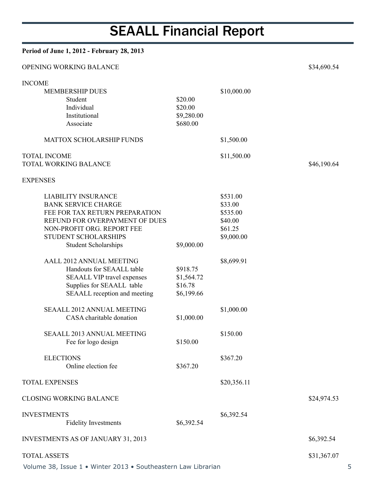# SEAALL Financial Report

| Period of June 1, 2012 - February 28, 2013                                                                                                                                                                        |                                                 |                                                                     |             |
|-------------------------------------------------------------------------------------------------------------------------------------------------------------------------------------------------------------------|-------------------------------------------------|---------------------------------------------------------------------|-------------|
| OPENING WORKING BALANCE                                                                                                                                                                                           |                                                 |                                                                     | \$34,690.54 |
| <b>INCOME</b>                                                                                                                                                                                                     |                                                 |                                                                     |             |
| <b>MEMBERSHIP DUES</b><br>Student<br>Individual<br>Institutional<br>Associate                                                                                                                                     | \$20.00<br>\$20.00<br>\$9,280.00<br>\$680.00    | \$10,000.00                                                         |             |
| <b>MATTOX SCHOLARSHIP FUNDS</b>                                                                                                                                                                                   |                                                 | \$1,500.00                                                          |             |
| <b>TOTAL INCOME</b><br>TOTAL WORKING BALANCE                                                                                                                                                                      |                                                 | \$11,500.00                                                         | \$46,190.64 |
| <b>EXPENSES</b>                                                                                                                                                                                                   |                                                 |                                                                     |             |
| <b>LIABILITY INSURANCE</b><br><b>BANK SERVICE CHARGE</b><br>FEE FOR TAX RETURN PREPARATION<br>REFUND FOR OVERPAYMENT OF DUES<br>NON-PROFIT ORG. REPORT FEE<br>STUDENT SCHOLARSHIPS<br><b>Student Scholarships</b> | \$9,000.00                                      | \$531.00<br>\$33.00<br>\$535.00<br>\$40.00<br>\$61.25<br>\$9,000.00 |             |
| AALL 2012 ANNUAL MEETING<br>Handouts for SEAALL table<br><b>SEAALL VIP travel expenses</b><br>Supplies for SEAALL table<br>SEAALL reception and meeting                                                           | \$918.75<br>\$1,564.72<br>\$16.78<br>\$6,199.66 | \$8,699.91                                                          |             |
| <b>SEAALL 2012 ANNUAL MEETING</b><br>CASA charitable donation                                                                                                                                                     | \$1,000.00                                      | \$1,000.00                                                          |             |
| <b>SEAALL 2013 ANNUAL MEETING</b><br>Fee for logo design                                                                                                                                                          | \$150.00                                        | \$150.00                                                            |             |
| <b>ELECTIONS</b><br>Online election fee                                                                                                                                                                           | \$367.20                                        | \$367.20                                                            |             |
| <b>TOTAL EXPENSES</b>                                                                                                                                                                                             |                                                 | \$20,356.11                                                         |             |
| <b>CLOSING WORKING BALANCE</b>                                                                                                                                                                                    |                                                 |                                                                     | \$24,974.53 |
| <b>INVESTMENTS</b><br><b>Fidelity Investments</b>                                                                                                                                                                 | \$6,392.54                                      | \$6,392.54                                                          |             |
| <b>INVESTMENTS AS OF JANUARY 31, 2013</b>                                                                                                                                                                         |                                                 |                                                                     | \$6,392.54  |
| <b>TOTAL ASSETS</b>                                                                                                                                                                                               |                                                 |                                                                     | \$31,367.07 |

Volume 38, Issue 1 • Winter 2013 • Southeastern Law Librarian 5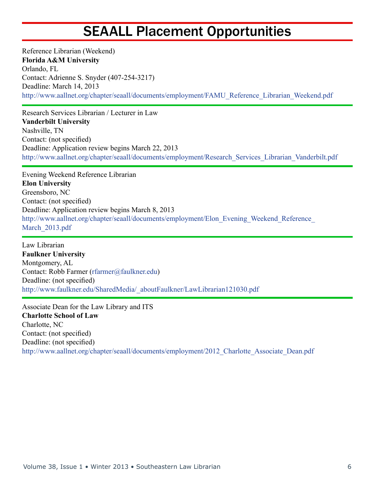#### SEAALL Placement Opportunities

Reference Librarian (Weekend) **Florida A&M University** Orlando, FL Contact: Adrienne S. Snyder (407-254-3217) Deadline: March 14, 2013 [http://www.aallnet.org/chapter/seaall/documents/employment/FAMU\\_Reference\\_Librarian\\_Weekend.pdf](http://www.aallnet.org/chapter/seaall/documents/employment/FAMU_Reference_Librarian_Weekend.pdf)

Research Services Librarian / Lecturer in Law **Vanderbilt University** Nashville, TN Contact: (not specified) Deadline: Application review begins March 22, 2013 [http://www.aallnet.org/chapter/seaall/documents/employment/Research\\_Services\\_Librarian\\_Vanderbilt.pdf](http://www.aallnet.org/chapter/seaall/documents/employment/Research_Services_Librarian_Vanderbilt.pdf)

Evening Weekend Reference Librarian **Elon University** Greensboro, NC Contact: (not specified) Deadline: Application review begins March 8, 2013 http://www.aallnet.org/chapter/seaall/documents/employment/Elon\_Evening\_Weekend\_Reference March 2013.pdf

Law Librarian **Faulkner University** Montgomery, AL Contact: Robb Farmer [\(rfarmer@faulkner.edu\)](mailto:rfarmer%40faulkner.edu?subject=) Deadline: (not specified) [http://www.faulkner.edu/SharedMedia/\\_aboutFaulkner/LawLibrarian121030.pdf](http://www.faulkner.edu/SharedMedia/_aboutFaulkner/LawLibrarian121030.pdf)

Associate Dean for the Law Library and ITS **Charlotte School of Law** Charlotte, NC Contact: (not specified) Deadline: (not specified) [http://www.aallnet.org/chapter/seaall/documents/employment/2012\\_Charlotte\\_Associate\\_Dean.pdf](http://www.aallnet.org/chapter/seaall/documents/employment/2012_Charlotte_Associate_Dean.pdf)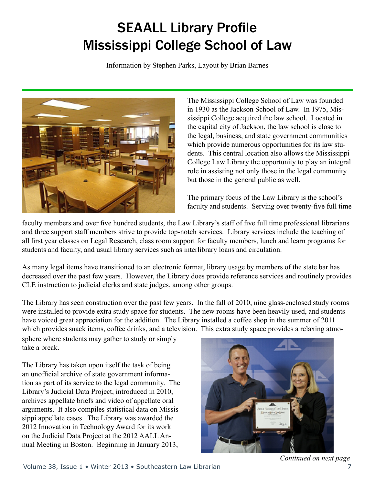## SEAALL Library Profile Mississippi College School of Law

Information by Stephen Parks, Layout by Brian Barnes



The Mississippi College School of Law was founded in 1930 as the Jackson School of Law. In 1975, Mississippi College acquired the law school. Located in the capital city of Jackson, the law school is close to the legal, business, and state government communities which provide numerous opportunities for its law students. This central location also allows the Mississippi College Law Library the opportunity to play an integral role in assisting not only those in the legal community but those in the general public as well.

The primary focus of the Law Library is the school's faculty and students. Serving over twenty-five full time

faculty members and over five hundred students, the Law Library's staff of five full time professional librarians and three support staff members strive to provide top-notch services. Library services include the teaching of all first year classes on Legal Research, class room support for faculty members, lunch and learn programs for students and faculty, and usual library services such as interlibrary loans and circulation.

As many legal items have transitioned to an electronic format, library usage by members of the state bar has decreased over the past few years. However, the Library does provide reference services and routinely provides CLE instruction to judicial clerks and state judges, among other groups.

The Library has seen construction over the past few years. In the fall of 2010, nine glass-enclosed study rooms were installed to provide extra study space for students. The new rooms have been heavily used, and students have voiced great appreciation for the addition. The Library installed a coffee shop in the summer of 2011 which provides snack items, coffee drinks, and a television. This extra study space provides a relaxing atmo-

sphere where students may gather to study or simply take a break.

The Library has taken upon itself the task of being an unofficial archive of state government information as part of its service to the legal community. The Library's Judicial Data Project, introduced in 2010, archives appellate briefs and video of appellate oral arguments. It also compiles statistical data on Mississippi appellate cases. The Library was awarded the 2012 Innovation in Technology Award for its work on the Judicial Data Project at the 2012 AALL Annual Meeting in Boston. Beginning in January 2013,



*Continued on next page*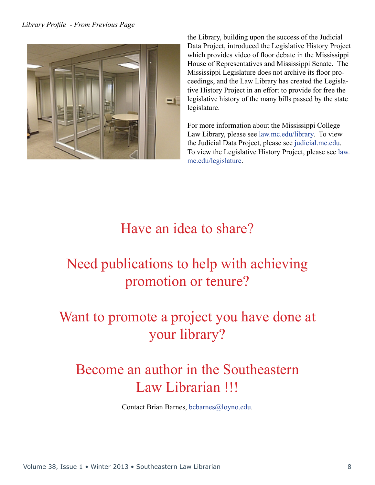

the Library, building upon the success of the Judicial Data Project, introduced the Legislative History Project which provides video of floor debate in the Mississippi House of Representatives and Mississippi Senate. The Mississippi Legislature does not archive its floor proceedings, and the Law Library has created the Legislative History Project in an effort to provide for free the legislative history of the many bills passed by the state legislature.

For more information about the Mississippi College Law Library, please see [law.mc.edu/library.](http://law.mc.edu/library) To view the Judicial Data Project, please see [judicial.mc.edu.](http://judicial.mc.edu) To view the Legislative History Project, please see [law.](http://law.mc.edu/legislature) [mc.edu/legislature](http://law.mc.edu/legislature).

#### Have an idea to share?

## Need publications to help with achieving promotion or tenure?

### Want to promote a project you have done at your library?

#### Become an author in the Southeastern Law Librarian !!!

Contact Brian Barnes, [bcbarnes@loyno.edu.](mailto:bcbarnes%40loyno.edu?subject=)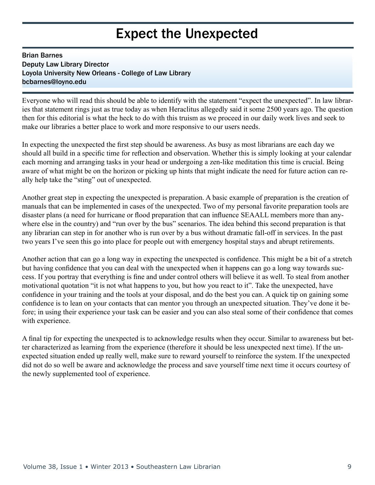#### Expect the Unexpected

#### Brian Barnes Deputy Law Library Director Loyola University New Orleans - College of Law Library bcbarnes@loyno.edu

Everyone who will read this should be able to identify with the statement "expect the unexpected". In law libraries that statement rings just as true today as when Heraclitus allegedly said it some 2500 years ago. The question then for this editorial is what the heck to do with this truism as we proceed in our daily work lives and seek to make our libraries a better place to work and more responsive to our users needs.

In expecting the unexpected the first step should be awareness. As busy as most librarians are each day we should all build in a specific time for reflection and observation. Whether this is simply looking at your calendar each morning and arranging tasks in your head or undergoing a zen-like meditation this time is crucial. Being aware of what might be on the horizon or picking up hints that might indicate the need for future action can really help take the "sting" out of unexpected.

Another great step in expecting the unexpected is preparation. A basic example of preparation is the creation of manuals that can be implemented in cases of the unexpected. Two of my personal favorite preparation tools are disaster plans (a need for hurricane or flood preparation that can influence SEAALL members more than anywhere else in the country) and "run over by the bus" scenarios. The idea behind this second preparation is that any librarian can step in for another who is run over by a bus without dramatic fall-off in services. In the past two years I've seen this go into place for people out with emergency hospital stays and abrupt retirements.

Another action that can go a long way in expecting the unexpected is confidence. This might be a bit of a stretch but having confidence that you can deal with the unexpected when it happens can go a long way towards success. If you portray that everything is fine and under control others will believe it as well. To steal from another motivational quotation "it is not what happens to you, but how you react to it". Take the unexpected, have confidence in your training and the tools at your disposal, and do the best you can. A quick tip on gaining some confidence is to lean on your contacts that can mentor you through an unexpected situation. They've done it before; in using their experience your task can be easier and you can also steal some of their confidence that comes with experience.

A final tip for expecting the unexpected is to acknowledge results when they occur. Similar to awareness but better characterized as learning from the experience (therefore it should be less unexpected next time). If the unexpected situation ended up really well, make sure to reward yourself to reinforce the system. If the unexpected did not do so well be aware and acknowledge the process and save yourself time next time it occurs courtesy of the newly supplemented tool of experience.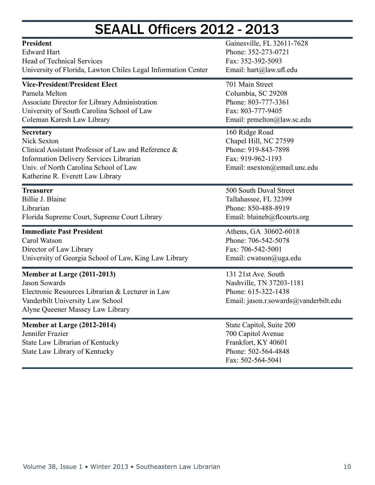### SEAALL Officers 2012 - 2013

| <b>President</b>                                                                                                                                                                                                      | Gainesville, FL 32611-7628                                                                                          |  |
|-----------------------------------------------------------------------------------------------------------------------------------------------------------------------------------------------------------------------|---------------------------------------------------------------------------------------------------------------------|--|
| <b>Edward Hart</b>                                                                                                                                                                                                    | Phone: 352-273-0721                                                                                                 |  |
| <b>Head of Technical Services</b>                                                                                                                                                                                     | Fax: 352-392-5093                                                                                                   |  |
| University of Florida, Lawton Chiles Legal Information Center                                                                                                                                                         | Email: hart@law.ufl.edu                                                                                             |  |
| <b>Vice-President/President Elect</b>                                                                                                                                                                                 | 701 Main Street                                                                                                     |  |
| Pamela Melton                                                                                                                                                                                                         | Columbia, SC 29208                                                                                                  |  |
| Associate Director for Library Administration                                                                                                                                                                         | Phone: 803-777-3361                                                                                                 |  |
| University of South Carolina School of Law                                                                                                                                                                            | Fax: 803-777-9405                                                                                                   |  |
| Coleman Karesh Law Library                                                                                                                                                                                            | Email: prmelton@law.sc.edu                                                                                          |  |
| <b>Secretary</b><br>Nick Sexton<br>Clinical Assistant Professor of Law and Reference &<br><b>Information Delivery Services Librarian</b><br>Univ. of North Carolina School of Law<br>Katherine R. Everett Law Library | 160 Ridge Road<br>Chapel Hill, NC 27599<br>Phone: 919-843-7898<br>Fax: 919-962-1193<br>Email: nsexton@email.unc.edu |  |
| <b>Treasurer</b>                                                                                                                                                                                                      | 500 South Duval Street                                                                                              |  |
| Billie J. Blaine                                                                                                                                                                                                      | Tallahassee, FL 32399                                                                                               |  |
| Librarian                                                                                                                                                                                                             | Phone: 850-488-8919                                                                                                 |  |
| Florida Supreme Court, Supreme Court Library                                                                                                                                                                          | Email: blaineb@flcourts.org                                                                                         |  |
| <b>Immediate Past President</b>                                                                                                                                                                                       | Athens, GA 30602-6018                                                                                               |  |
| Carol Watson                                                                                                                                                                                                          | Phone: 706-542-5078                                                                                                 |  |
| Director of Law Library                                                                                                                                                                                               | Fax: 706-542-5001                                                                                                   |  |
| University of Georgia School of Law, King Law Library                                                                                                                                                                 | Email: cwatson@uga.edu                                                                                              |  |
| Member at Large (2011-2013)<br><b>Jason Sowards</b><br>Electronic Resources Librarian & Lecturer in Law<br>Vanderbilt University Law School<br>Alyne Queener Massey Law Library                                       | 131 21st Ave. South<br>Nashville, TN 37203-1181<br>Phone: 615-322-1438<br>Email: jason.r.sowards@vanderbilt.edu     |  |
| Member at Large (2012-2014)<br>Jennifer Frazier<br>State Law Librarian of Kentucky<br>State Law Library of Kentucky                                                                                                   | State Capitol, Suite 200<br>700 Capitol Avenue<br>Frankfort, KY 40601<br>Phone: 502-564-4848<br>Fax: 502-564-5041   |  |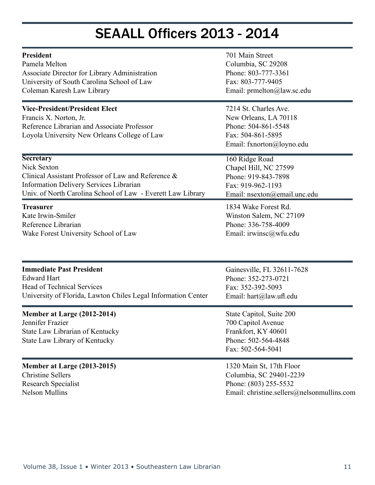#### SEAALL Officers 2013 - 2014

| President                                                                                                                                                      | 701 Main Street                                                                                                         |  |  |
|----------------------------------------------------------------------------------------------------------------------------------------------------------------|-------------------------------------------------------------------------------------------------------------------------|--|--|
| Pamela Melton                                                                                                                                                  | Columbia, SC 29208                                                                                                      |  |  |
| Associate Director for Library Administration                                                                                                                  | Phone: 803-777-3361                                                                                                     |  |  |
| University of South Carolina School of Law                                                                                                                     | Fax: 803-777-9405                                                                                                       |  |  |
| Coleman Karesh Law Library                                                                                                                                     | Email: prmelton@law.sc.edu                                                                                              |  |  |
| <b>Vice-President/President Elect</b><br>Francis X. Norton, Jr.<br>Reference Librarian and Associate Professor<br>Loyola University New Orleans College of Law | 7214 St. Charles Ave.<br>New Orleans, LA 70118<br>Phone: 504-861-5548<br>Fax: 504-861-5895<br>Email: fxnorton@loyno.edu |  |  |
| <b>Secretary</b>                                                                                                                                               | 160 Ridge Road                                                                                                          |  |  |
| Nick Sexton                                                                                                                                                    | Chapel Hill, NC 27599                                                                                                   |  |  |
| Clinical Assistant Professor of Law and Reference &                                                                                                            | Phone: 919-843-7898                                                                                                     |  |  |
| <b>Information Delivery Services Librarian</b>                                                                                                                 | Fax: 919-962-1193                                                                                                       |  |  |
| Univ. of North Carolina School of Law - Everett Law Library                                                                                                    | Email: nsexton@email.unc.edu                                                                                            |  |  |
| <b>Treasurer</b>                                                                                                                                               | 1834 Wake Forest Rd.                                                                                                    |  |  |
| Kate Irwin-Smiler                                                                                                                                              | Winston Salem, NC 27109                                                                                                 |  |  |
| Reference Librarian                                                                                                                                            | Phone: 336-758-4009                                                                                                     |  |  |
| Wake Forest University School of Law                                                                                                                           | Email: irwinsc@wfu.edu                                                                                                  |  |  |
| <b>Immediate Past President</b>                                                                                                                                | Gainesville, FL 32611-7628                                                                                              |  |  |
| <b>Edward Hart</b>                                                                                                                                             | Phone: 352-273-0721                                                                                                     |  |  |
| Head of Technical Services                                                                                                                                     | Fax: 352-392-5093                                                                                                       |  |  |
| University of Florida, Lawton Chiles Legal Information Center                                                                                                  | Email: hart@law.ufl.edu                                                                                                 |  |  |
| Member at Large (2012-2014)<br>Jennifer Frazier<br>State Law Librarian of Kentucky<br>State Law Library of Kentucky                                            | State Capitol, Suite 200<br>700 Capitol Avenue<br>Frankfort, KY 40601<br>Phone: 502-564-4848<br>Fax: 502-564-5041       |  |  |
| <b>Member at Large (2013-2015)</b>                                                                                                                             | 1320 Main St, 17th Floor                                                                                                |  |  |
| <b>Christine Sellers</b>                                                                                                                                       | Columbia, SC 29401-2239                                                                                                 |  |  |
| Research Specialist                                                                                                                                            | Phone: (803) 255-5532                                                                                                   |  |  |
| <b>Nelson Mullins</b>                                                                                                                                          | Email: christine.sellers@nelsonmullins.com                                                                              |  |  |